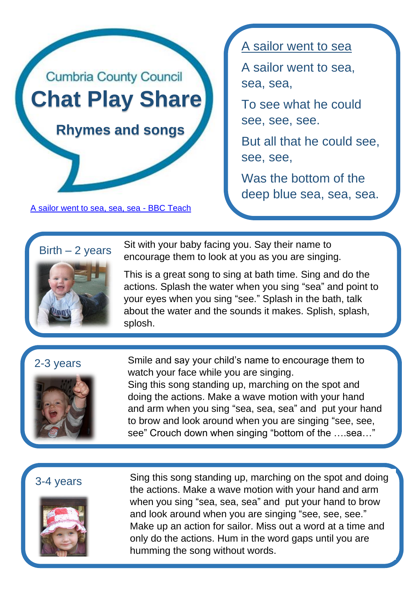

[A sailor went to sea, sea, sea -](https://www.bbc.co.uk/teach/school-radio/nursery-rhymes-sailor-went-to-sea/z69vhbk) BBC Teach

A sailor went to sea

A sailor went to sea, sea, sea,

To see what he could see, see, see.

But all that he could see, see, see,

Was the bottom of the deep blue sea, sea, sea.

Sit with your baby facing you. Say their name to encourage them to look at you as you are singing.

This is a great song to sing at bath time. Sing and do the actions. Splash the water when you sing "sea" and point to your eyes when you sing "see." Splash in the bath, talk about the water and the sounds it makes. Splish, splash, splosh.

# 2-3 years

 $Birth - 2 years$ 



Smile and say your child's name to encourage them to watch your face while you are singing. Sing this song standing up, marching on the spot and doing the actions. Make a wave motion with your hand and arm when you sing "sea, sea, sea" and put your hand to brow and look around when you are singing "see, see, see" Crouch down when singing "bottom of the ….sea…"

## 3-4 years



Sing this song standing up, marching on the spot and doing the actions. Make a wave motion with your hand and arm when you sing "sea, sea, sea" and put your hand to brow and look around when you are singing "see, see, see." Make up an action for sailor. Miss out a word at a time and only do the actions. Hum in the word gaps until you are humming the song without words.